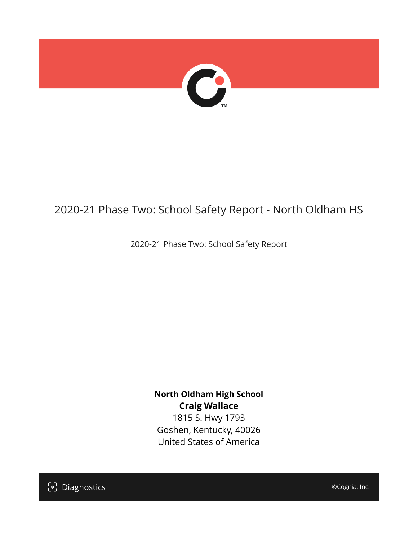

## 2020-21 Phase Two: School Safety Report - North Oldham HS

2020-21 Phase Two: School Safety Report

**North Oldham High School Craig Wallace** 1815 S. Hwy 1793 Goshen, Kentucky, 40026 United States of America

[၁] Diagnostics

©Cognia, Inc.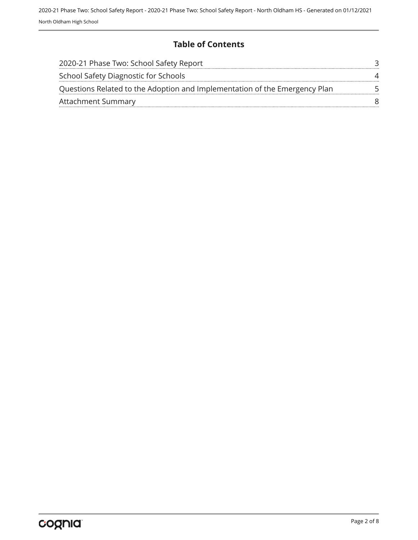### **Table of Contents**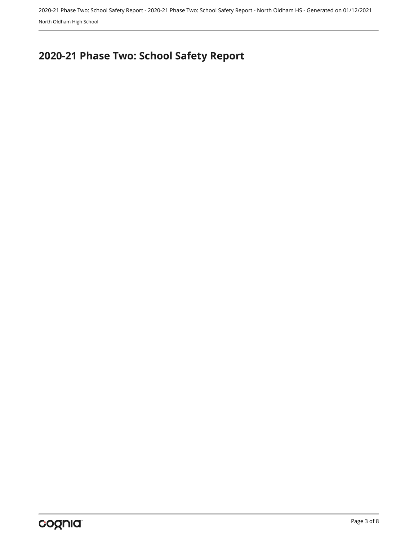2020-21 Phase Two: School Safety Report - 2020-21 Phase Two: School Safety Report - North Oldham HS - Generated on 01/12/2021 North Oldham High School

# <span id="page-2-0"></span>**2020-21 Phase Two: School Safety Report**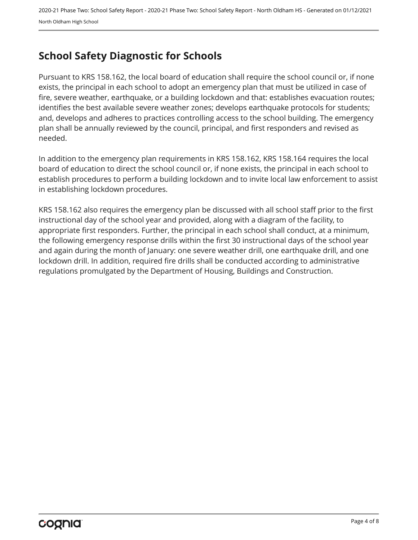## <span id="page-3-0"></span>**School Safety Diagnostic for Schools**

Pursuant to KRS 158.162, the local board of education shall require the school council or, if none exists, the principal in each school to adopt an emergency plan that must be utilized in case of fire, severe weather, earthquake, or a building lockdown and that: establishes evacuation routes; identifies the best available severe weather zones; develops earthquake protocols for students; and, develops and adheres to practices controlling access to the school building. The emergency plan shall be annually reviewed by the council, principal, and first responders and revised as needed.

In addition to the emergency plan requirements in KRS 158.162, KRS 158.164 requires the local board of education to direct the school council or, if none exists, the principal in each school to establish procedures to perform a building lockdown and to invite local law enforcement to assist in establishing lockdown procedures.

KRS 158.162 also requires the emergency plan be discussed with all school staff prior to the first instructional day of the school year and provided, along with a diagram of the facility, to appropriate first responders. Further, the principal in each school shall conduct, at a minimum, the following emergency response drills within the first 30 instructional days of the school year and again during the month of January: one severe weather drill, one earthquake drill, and one lockdown drill. In addition, required fire drills shall be conducted according to administrative regulations promulgated by the Department of Housing, Buildings and Construction.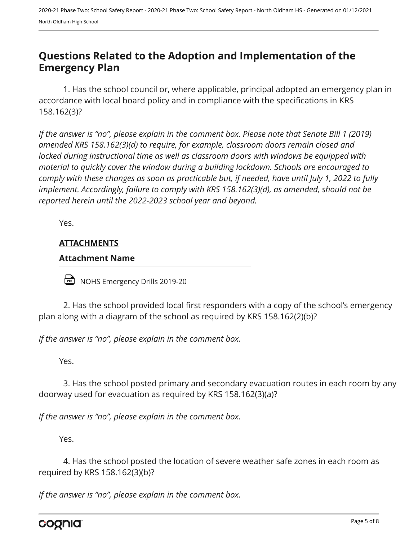## <span id="page-4-0"></span>**Questions Related to the Adoption and Implementation of the Emergency Plan**

1. Has the school council or, where applicable, principal adopted an emergency plan in accordance with local board policy and in compliance with the specifications in KRS 158.162(3)?

*If the answer is "no", please explain in the comment box. Please note that Senate Bill 1 (2019) amended KRS 158.162(3)(d) to require, for example, classroom doors remain closed and locked during instructional time as well as classroom doors with windows be equipped with material to quickly cover the window during a building lockdown. Schools are encouraged to comply with these changes as soon as practicable but, if needed, have until July 1, 2022 to fully implement. Accordingly, failure to comply with KRS 158.162(3)(d), as amended, should not be reported herein until the 2022-2023 school year and beyond.*

Yes.

### **ATTACHMENTS**

#### **Attachment Name**

NOHS Emergency Drills 2019-20

2. Has the school provided local first responders with a copy of the school's emergency plan along with a diagram of the school as required by KRS 158.162(2)(b)?

*If the answer is "no", please explain in the comment box.*

Yes.

3. Has the school posted primary and secondary evacuation routes in each room by any doorway used for evacuation as required by KRS 158.162(3)(a)?

*If the answer is "no", please explain in the comment box.*

Yes.

4. Has the school posted the location of severe weather safe zones in each room as required by KRS 158.162(3)(b)?

*If the answer is "no", please explain in the comment box.*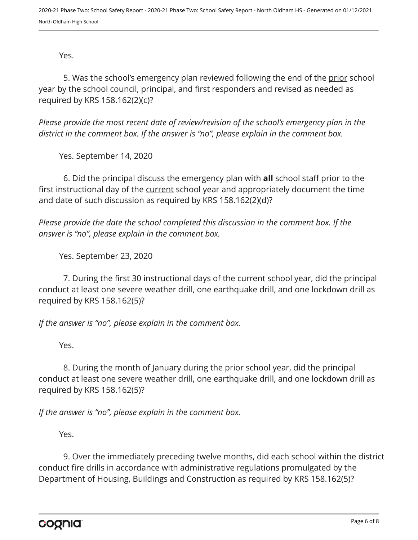Yes.

5. Was the school's emergency plan reviewed following the end of the prior school year by the school council, principal, and first responders and revised as needed as required by KRS 158.162(2)(c)?

*Please provide the most recent date of review/revision of the school's emergency plan in the district in the comment box. If the answer is "no", please explain in the comment box.* 

Yes. September 14, 2020

6. Did the principal discuss the emergency plan with **all** school staff prior to the first instructional day of the current school year and appropriately document the time and date of such discussion as required by KRS 158.162(2)(d)?

*Please provide the date the school completed this discussion in the comment box. If the answer is "no", please explain in the comment box.*

Yes. September 23, 2020

7. During the first 30 instructional days of the current school year, did the principal conduct at least one severe weather drill, one earthquake drill, and one lockdown drill as required by KRS 158.162(5)?

*If the answer is "no", please explain in the comment box.*

Yes.

8. During the month of January during the prior school year, did the principal conduct at least one severe weather drill, one earthquake drill, and one lockdown drill as required by KRS 158.162(5)?

*If the answer is "no", please explain in the comment box.*

Yes.

9. Over the immediately preceding twelve months, did each school within the district conduct fire drills in accordance with administrative regulations promulgated by the Department of Housing, Buildings and Construction as required by KRS 158.162(5)?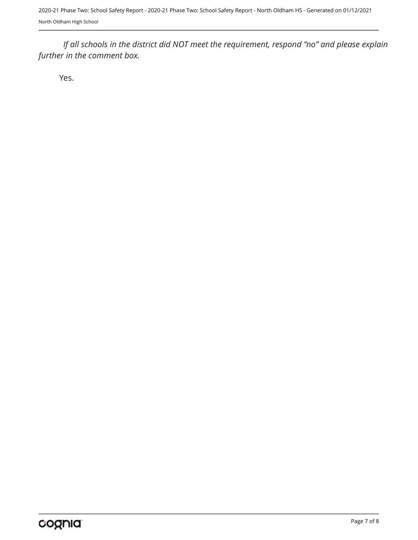2020-21 Phase Two: School Safety Report - 2020-21 Phase Two: School Safety Report - North Oldham HS - Generated on 01/12/2021 North Oldham High School

*If all schools in the district did NOT meet the requirement, respond "no" and please explain further in the comment box.* 

Yes.